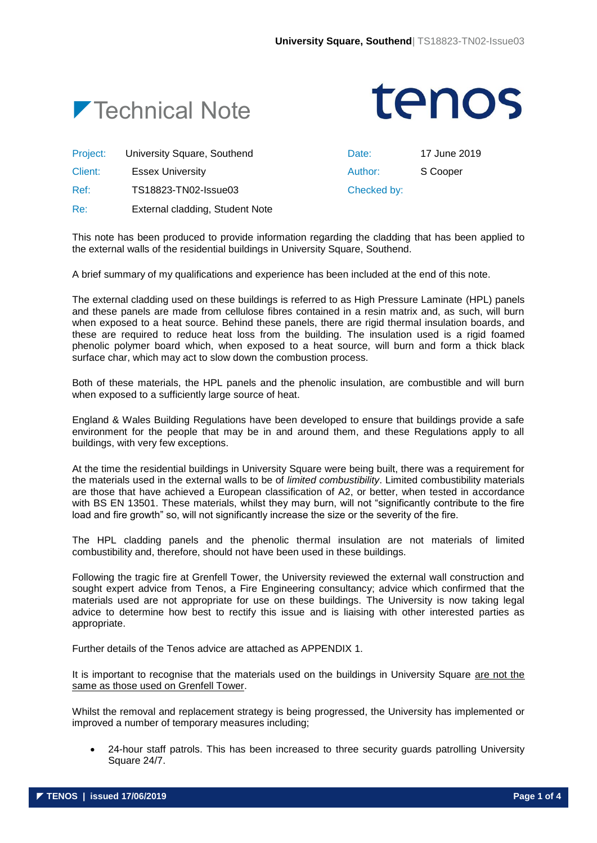



Project: University Square, Southend Date: 17 June 2019

Client: Essex University Author: S Cooper

Ref: TS18823-TN02-Issue03 Checked by:

Re: External cladding, Student Note

This note has been produced to provide information regarding the cladding that has been applied to the external walls of the residential buildings in University Square, Southend.

A brief summary of my qualifications and experience has been included at the end of this note.

The external cladding used on these buildings is referred to as High Pressure Laminate (HPL) panels and these panels are made from cellulose fibres contained in a resin matrix and, as such, will burn when exposed to a heat source. Behind these panels, there are rigid thermal insulation boards, and these are required to reduce heat loss from the building. The insulation used is a rigid foamed phenolic polymer board which, when exposed to a heat source, will burn and form a thick black surface char, which may act to slow down the combustion process.

Both of these materials, the HPL panels and the phenolic insulation, are combustible and will burn when exposed to a sufficiently large source of heat.

England & Wales Building Regulations have been developed to ensure that buildings provide a safe environment for the people that may be in and around them, and these Regulations apply to all buildings, with very few exceptions.

At the time the residential buildings in University Square were being built, there was a requirement for the materials used in the external walls to be of *limited combustibility*. Limited combustibility materials are those that have achieved a European classification of A2, or better, when tested in accordance with BS EN 13501. These materials, whilst they may burn, will not "significantly contribute to the fire load and fire growth" so, will not significantly increase the size or the severity of the fire.

The HPL cladding panels and the phenolic thermal insulation are not materials of limited combustibility and, therefore, should not have been used in these buildings.

Following the tragic fire at Grenfell Tower, the University reviewed the external wall construction and sought expert advice from Tenos, a Fire Engineering consultancy; advice which confirmed that the materials used are not appropriate for use on these buildings. The University is now taking legal advice to determine how best to rectify this issue and is liaising with other interested parties as appropriate.

Further details of the Tenos advice are attached as APPENDIX 1.

It is important to recognise that the materials used on the buildings in University Square are not the same as those used on Grenfell Tower.

Whilst the removal and replacement strategy is being progressed, the University has implemented or improved a number of temporary measures including;

 24-hour staff patrols. This has been increased to three security guards patrolling University Square 24/7.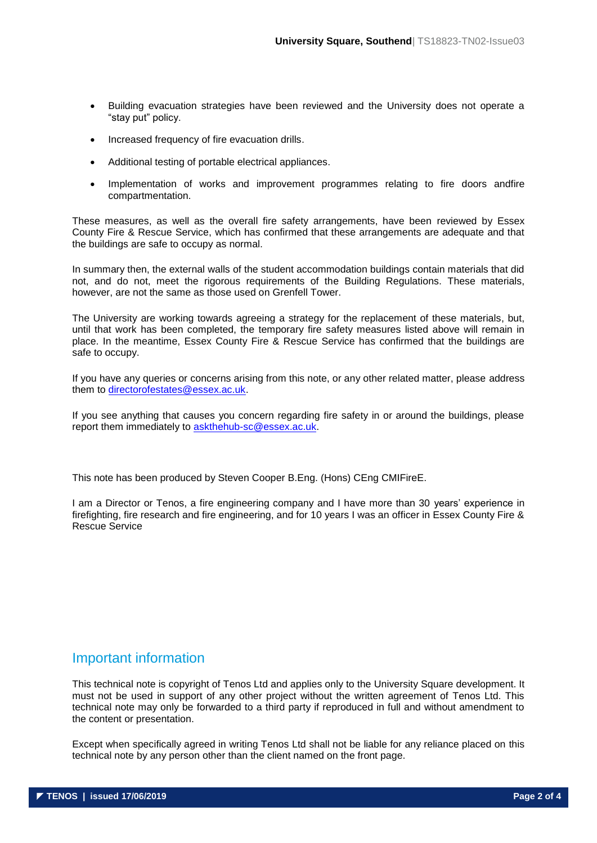- Building evacuation strategies have been reviewed and the University does not operate a "stay put" policy.
- Increased frequency of fire evacuation drills.
- Additional testing of portable electrical appliances.
- Implementation of works and improvement programmes relating to fire doors andfire compartmentation.

These measures, as well as the overall fire safety arrangements, have been reviewed by Essex County Fire & Rescue Service, which has confirmed that these arrangements are adequate and that the buildings are safe to occupy as normal.

In summary then, the external walls of the student accommodation buildings contain materials that did not, and do not, meet the rigorous requirements of the Building Regulations. These materials, however, are not the same as those used on Grenfell Tower.

The University are working towards agreeing a strategy for the replacement of these materials, but, until that work has been completed, the temporary fire safety measures listed above will remain in place. In the meantime, Essex County Fire & Rescue Service has confirmed that the buildings are safe to occupy.

If you have any queries or concerns arising from this note, or any other related matter, please address them to [directorofestates@essex.ac.uk.](mailto:directorofestates@essex.ac.uk)

If you see anything that causes you concern regarding fire safety in or around the buildings, please report them immediately to [askthehub-sc@essex.ac.uk.](mailto:askthehub-sc@essex.ac.uk)

This note has been produced by Steven Cooper B.Eng. (Hons) CEng CMIFireE.

I am a Director or Tenos, a fire engineering company and I have more than 30 years' experience in firefighting, fire research and fire engineering, and for 10 years I was an officer in Essex County Fire & Rescue Service

# Important information

This technical note is copyright of Tenos Ltd and applies only to the University Square development. It must not be used in support of any other project without the written agreement of Tenos Ltd. This technical note may only be forwarded to a third party if reproduced in full and without amendment to the content or presentation.

Except when specifically agreed in writing Tenos Ltd shall not be liable for any reliance placed on this technical note by any person other than the client named on the front page.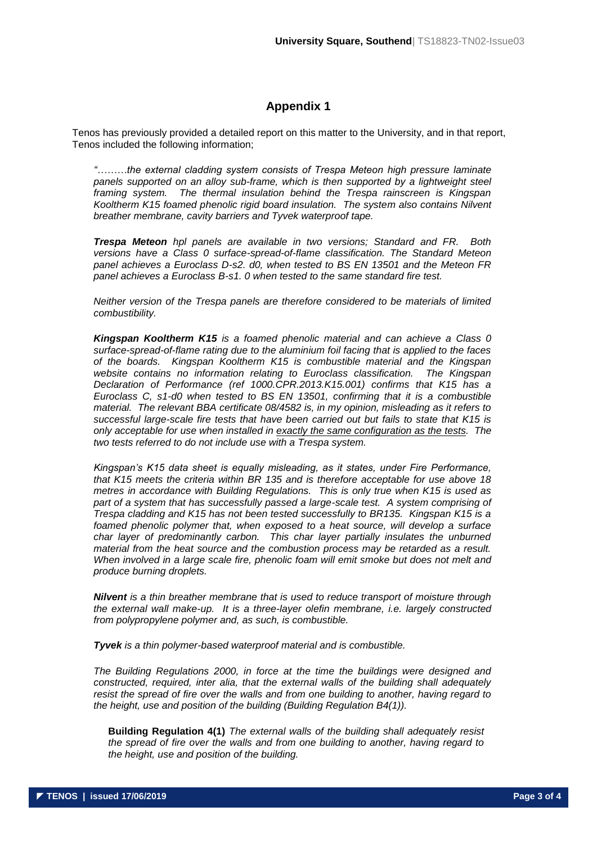# **Appendix 1**

Tenos has previously provided a detailed report on this matter to the University, and in that report, Tenos included the following information;

*"………the external cladding system consists of Trespa Meteon high pressure laminate*  panels supported on an alloy sub-frame, which is then supported by a lightweight steel *framing system. The thermal insulation behind the Trespa rainscreen is Kingspan Kooltherm K15 foamed phenolic rigid board insulation. The system also contains Nilvent breather membrane, cavity barriers and Tyvek waterproof tape.*

*Trespa Meteon hpl panels are available in two versions; Standard and FR. Both versions have a Class 0 surface-spread-of-flame classification. The Standard Meteon panel achieves a Euroclass D-s2. d0, when tested to BS EN 13501 and the Meteon FR panel achieves a Euroclass B-s1. 0 when tested to the same standard fire test.* 

*Neither version of the Trespa panels are therefore considered to be materials of limited combustibility.*

*Kingspan Kooltherm K15 is a foamed phenolic material and can achieve a Class 0 surface-spread-of-flame rating due to the aluminium foil facing that is applied to the faces of the boards. Kingspan Kooltherm K15 is combustible material and the Kingspan website contains no information relating to Euroclass classification. The Kingspan Declaration of Performance (ref 1000.CPR.2013.K15.001) confirms that K15 has a Euroclass C, s1-d0 when tested to BS EN 13501, confirming that it is a combustible material. The relevant BBA certificate 08/4582 is, in my opinion, misleading as it refers to successful large-scale fire tests that have been carried out but fails to state that K15 is only acceptable for use when installed in exactly the same configuration as the tests. The two tests referred to do not include use with a Trespa system.* 

*Kingspan's K15 data sheet is equally misleading, as it states, under Fire Performance, that K15 meets the criteria within BR 135 and is therefore acceptable for use above 18 metres in accordance with Building Regulations. This is only true when K15 is used as part of a system that has successfully passed a large-scale test. A system comprising of Trespa cladding and K15 has not been tested successfully to BR135. Kingspan K15 is a foamed phenolic polymer that, when exposed to a heat source, will develop a surface char layer of predominantly carbon. This char layer partially insulates the unburned material from the heat source and the combustion process may be retarded as a result. When involved in a large scale fire, phenolic foam will emit smoke but does not melt and produce burning droplets.*

*Nilvent is a thin breather membrane that is used to reduce transport of moisture through the external wall make-up. It is a three-layer olefin membrane, i.e. largely constructed from polypropylene polymer and, as such, is combustible.*

*Tyvek is a thin polymer-based waterproof material and is combustible.*

*The Building Regulations 2000, in force at the time the buildings were designed and constructed, required, inter alia, that the external walls of the building shall adequately resist the spread of fire over the walls and from one building to another, having regard to the height, use and position of the building (Building Regulation B4(1)).*

**Building Regulation 4(1)** *The external walls of the building shall adequately resist the spread of fire over the walls and from one building to another, having regard to the height, use and position of the building.*